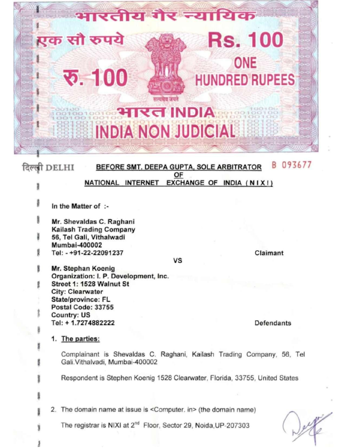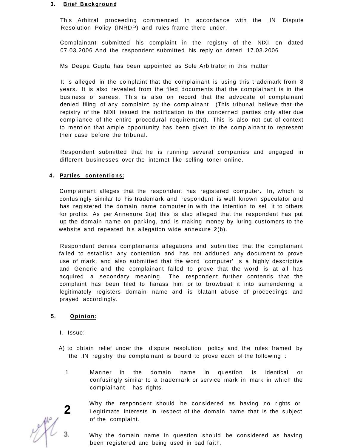#### **3. Brief Background**

This Arbitral proceeding commenced in accordance with the .IN Dispute Resolution Policy (INRDP) and rules frame there under.

Complainant submitted his complaint in the registry of the NIXI on dated 07.03.2006 And the respondent submitted his reply on dated 17.03.2006

Ms Deepa Gupta has been appointed as Sole Arbitrator in this matter

It is alleged in the complaint that the complainant is using this trademark from 8 years. It is also revealed from the filed documents that the complainant is in the business of sarees. This is also on record that the advocate of complainant denied filing of any complaint by the complainant. (This tribunal believe that the registry of the NIXI issued the notification to the concerned parties only after due compliance of the entire procedural requirement). This is also not out of context to mention that ample opportunity has been given to the complainant to represent their case before the tribunal.

Respondent submitted that he is running several companies and engaged in different businesses over the internet like selling toner online.

## **4. Parties contentions :**

Complainant alleges that the respondent has registered computer. In, which is confusingly similar to his trademark and respondent is well known speculator and has registered the domain name computer.in with the intention to sell it to others for profits. As per Annexure 2(a) this is also alleged that the respondent has put up the domain name on parking, and is making money by luring customers to the website and repeated his allegation wide annexure 2(b).

Respondent denies complainants allegations and submitted that the complainant failed to establish any contention and has not adduced any document to prove use of mark, and also submitted that the word 'computer' is a highly descriptive and Generic and the complainant failed to prove that the word is at all has acquired a secondary meaning. The respondent further contends that the complaint has been filed to harass him or to browbeat it into surrendering a legitimately registers domain name and is blatant abuse of proceedings and prayed accordingly.

## **5. Opinion :**

- I. Issue:
- A) to obtain relief under the dispute resolution policy and the rules framed by the .IN registry the complainant is bound to prove each of the following :
	- 1 Manner in the domain name in question is identical or confusingly similar to a trademark or service mark in mark in which the complainant has rights.

**2** Why the respondent should be considered as having no rights or Legitimate interests in respect of the domain name that is the subject of the complaint.

Why the domain name in question should be considered as having been registered and being used in bad faith.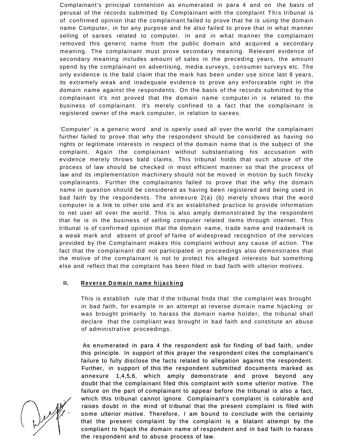Complainant's principal contention as enumerated in para 4 and on the basis of perusal of the records submitted by Complainant with the complaint This tribunal is of confirmed opinion that the complainant failed to prove that he is using the domain name Computer, in for any purpose and he also failed to prove that in what manner selling of sarees related to computer. In and in what manner the complainant removed this generic name from the public domain and acquired a secondary meaning. The complainant must prove secondary meaning. Relevant evidence of secondary meaning includes amount of sales in the preceding years, the amount spend by the complainant on advertising, media surveys, consumer surveys etc. The only evidence is the bald claim that the mark has been under use since last 8 years, its extremely weak and inadequate evidence to prove any enforceable right in the domain name against the respondents. On the basis of the records submitted by the complainant it's not proved that the domain name computer.in is related to the business of complainant. It's merely confined to a fact that the complainant is registered owner of the mark computer, in relation to sarees.

'Computer' is a generic word and is openly used all over the world the complainant further failed to prove that why the respondent should be considered as having no rights or legitimate interests in respect of the domain name that is the subject of the complaint. Again the complainant without substantiating his accusation with evidence merely throws bald claims. This tribunal holds that such abuse of the process of law should be checked in most efficient manner so that the process of law and its implementation machinery should not be moved in motion by such finicky complainants. Further the complainants failed to prove that the why the domain name in question should be considered as having been registered and being used in bad faith by the respondents. The annexure 2(a) (b) merely shows that the word computer is a link to other site and it's an established practice to provide information to net user all over the world. This is also amply demonstrated by the respondent that he is in the business of selling computer related items through internet. This tribunal is of confirmed opinion that the domain name, trade name and trademark is a weak mark and absent of proof of fame of widespread recognition of the services provided by the Complainant makes this complaint without any cause of action. The fact that the complainant did not participated in proceedings also demonstrates that the motive of the complainant is not to protect his alleged interests but something else and reflect that the complaint has been filed in bad faith with ulterior motives.

# **II.** Reverse Domain name hijacking

This is establish rule that if the tribunal finds that the complaint was brought in bad faith, for example in an attempt at reverse domain name hijacking or was brought primarily to harass the domain name holder, the tribunal shall declare that the compliant was brought in bad faith and constitute an abuse of administrative proceedings.

As enumerated in para 4 the respondent ask for finding of bad faith, under this principle. In support of this prayer the respondent cites the complainant's failure to fully disclose the facts related to allegation against the respondent. Further, in support of this the respondent submitted documents marked as annexure 1,4,5,6, which amply demonstrate and prove beyond any doubt that the complainant filed this complaint with some ulterior motive. The failure on the part of complainant to appear before the tribunal is also a fact, which this tribunal cannot ignore. Complainant's complaint is colorable and raises doubt in the mind of tribunal that the present complaint is filed with some ulterior motive. Therefore, I am bound to conclude with the certainty that the present complaint by the complaint is a blatant attempt by the compliant to hijack the domain name of respondent and in bad faith to harass the respondent and to abuse process of law.